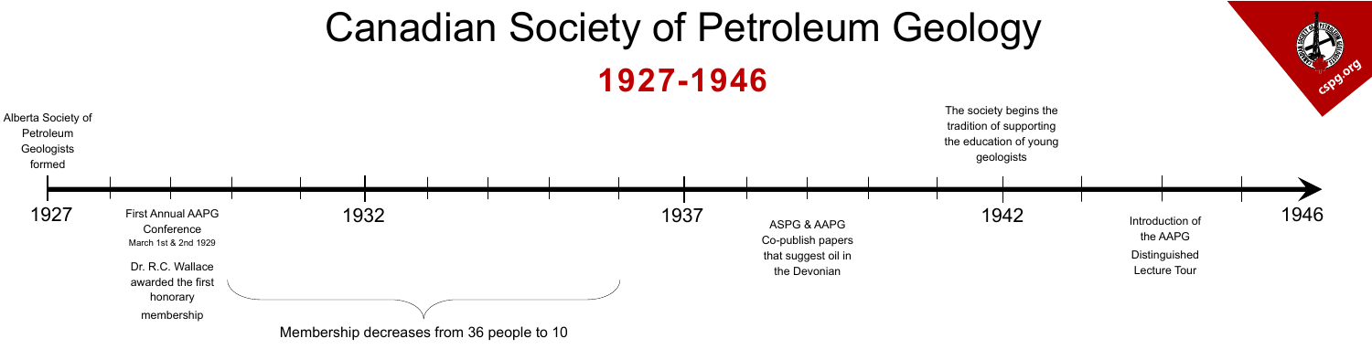## Canadian Society of Petroleum Geology **1927-1946**



ASPG & AAPG Co-publish papers that suggest oil in the Devonian





Membership decreases from 36 people to 10

Introduction of the AAPG Distinguished Lecture Tour

The society begins the tradition of supporting the education of young geologists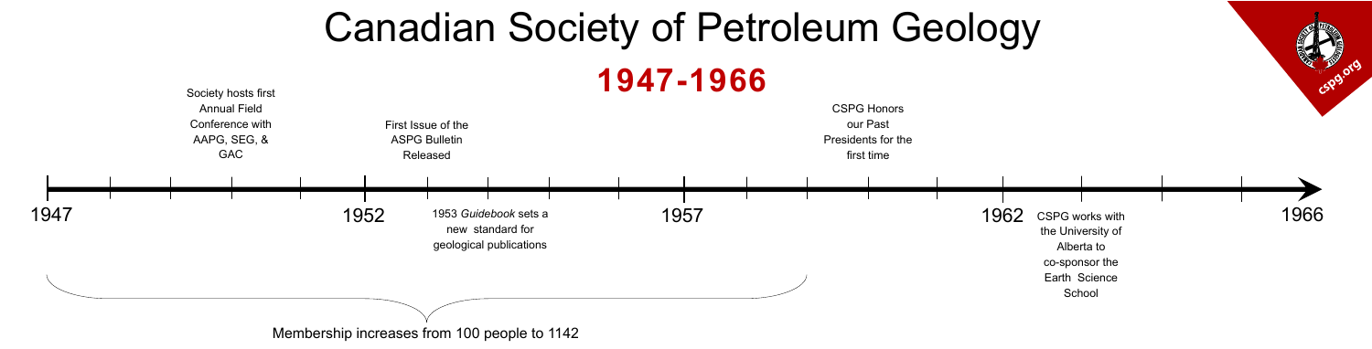## Canadian Society of Petroleum Geology **1947-1966**

CSPG Honors our Past Presidents for the first time







- 
- 
- 
- 
- 

Membership increases from 100 people to 1142

Society hosts first Annual Field Conference with AAPG, SEG, & GAC



1953 *Guidebook* sets a new standard for geological publications

First Issue of the ASPG Bulletin Released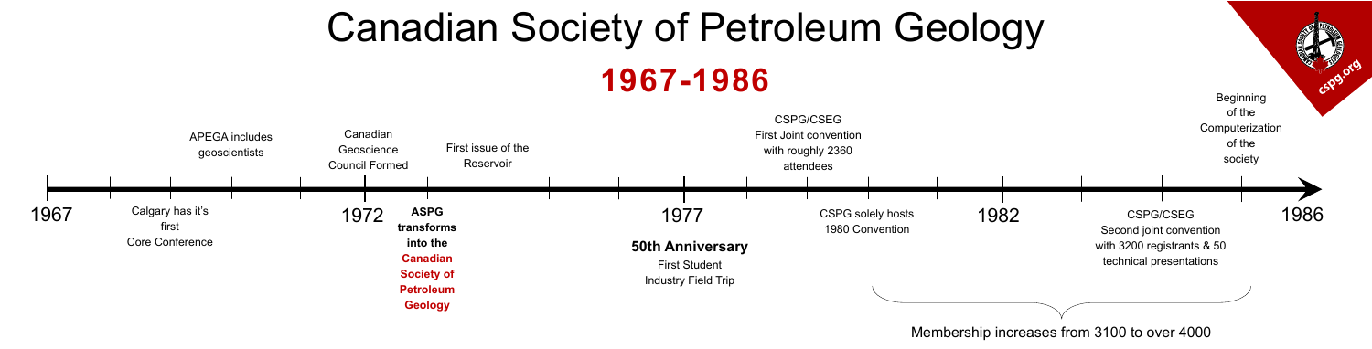## Canadian Society of Petroleum Geology **1967-1986**





| <b>APEGA includes</b><br>geoscientists       | Canadian<br>First issue of the<br>Geoscience<br>Reservoir<br><b>Council Formed</b>                                          | <b>First Joint convention</b><br>with roughly 2360<br>attendees                       |                                                    |      | Computerization<br>of the<br>society                                                                 |      |
|----------------------------------------------|-----------------------------------------------------------------------------------------------------------------------------|---------------------------------------------------------------------------------------|----------------------------------------------------|------|------------------------------------------------------------------------------------------------------|------|
| Calgary has it's<br>first<br>Core Conference | <b>ASPG</b><br>1972<br>transforms<br>into the<br><b>Canadian</b><br><b>Society of</b><br><b>Petroleum</b><br><b>Geology</b> | 1977<br><b>50th Anniversary</b><br><b>First Student</b><br><b>Industry Field Trip</b> | <b>CSPG solely hosts</b><br><b>1980 Convention</b> | 1982 | <b>CSPG/CSEG</b><br>Second joint convention<br>with 3200 registrants & 50<br>technical presentations | 1986 |

Membership increases from 3100 to over 4000



CSPG/CSEG First Joint convention with roughly 2360 attendees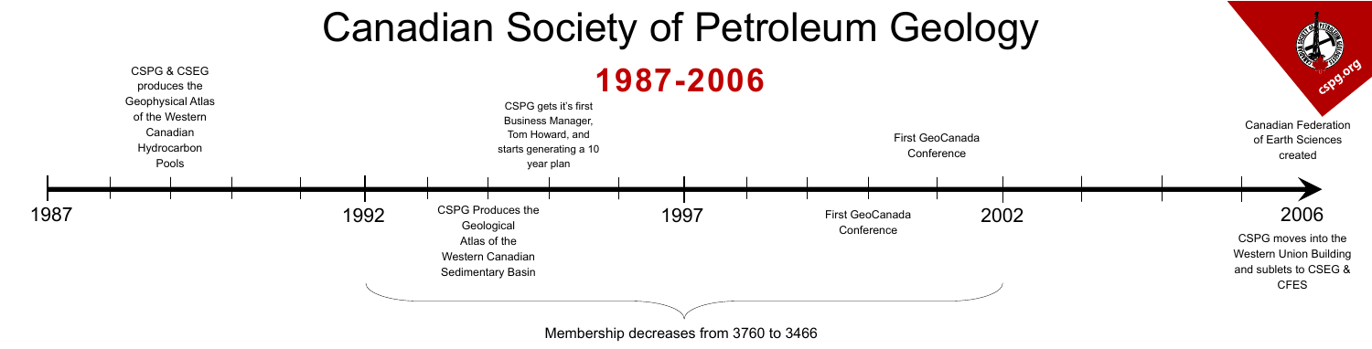# Canadian Society of Petroleum Geology **1987-2006**

CSPG & CSEG produces the Geophysical Atlas of the Western **Canadian** Hydrocarbon

Pools

CSPG Produces the **Geological** Atlas of the Western Canadian Sedimentary Basin



CSPG gets it's first Business Manager, Tom Howard, and starts generating a 10 year plan

Membership decreases from 3760 to 3466

#### Canadian Federation of Earth Sciences created

CSP9.